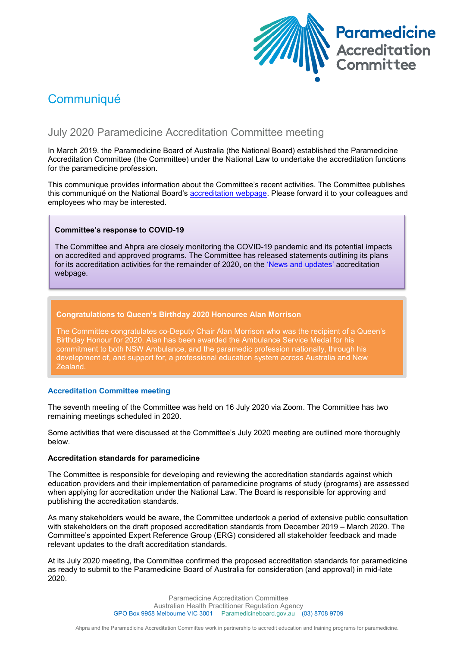

# **Communiqué**

# July 2020 Paramedicine Accreditation Committee meeting

In March 2019, the Paramedicine Board of Australia (the National Board) established the Paramedicine Accreditation Committee (the Committee) under the National Law to undertake the accreditation functions for the paramedicine profession.

This communique provides information about the Committee's recent activities. The Committee publishes this communiqué on the National Board's [accreditation webpage.](https://www.paramedicineboard.gov.au/Accreditation.aspx) Please forward it to your colleagues and employees who may be interested.

# **Committee's response to COVID-19**

The Committee and Ahpra are closely monitoring the COVID-19 pandemic and its potential impacts on accredited and approved programs. The Committee has released statements outlining its plans for its accreditation activities for the remainder of 2020, on the ['News and updates'](https://www.paramedicineboard.gov.au/Accreditation/Updates.aspx) accreditation webpage.

# **Congratulations to Queen's Birthday 2020 Honouree Alan Morrison**

The Committee congratulates co-Deputy Chair Alan Morrison who was the recipient of a Queen's Birthday Honour for 2020. Alan has been awarded the Ambulance Service Medal for his commitment to both NSW Ambulance, and the paramedic profession nationally, through his development of, and support for, a professional education system across Australia and New Zealand.

#### **Accreditation Committee meeting**

The seventh meeting of the Committee was held on 16 July 2020 via Zoom. The Committee has two remaining meetings scheduled in 2020.

Some activities that were discussed at the Committee's July 2020 meeting are outlined more thoroughly below.

# **Accreditation standards for paramedicine**

The Committee is responsible for developing and reviewing the accreditation standards against which education providers and their implementation of paramedicine programs of study (programs) are assessed when applying for accreditation under the National Law. The Board is responsible for approving and publishing the accreditation standards.

As many stakeholders would be aware, the Committee undertook a period of extensive public consultation with stakeholders on the draft proposed accreditation standards from December 2019 – March 2020. The Committee's appointed Expert Reference Group (ERG) considered all stakeholder feedback and made relevant updates to the draft accreditation standards.

At its July 2020 meeting, the Committee confirmed the proposed accreditation standards for paramedicine as ready to submit to the Paramedicine Board of Australia for consideration (and approval) in mid-late 2020.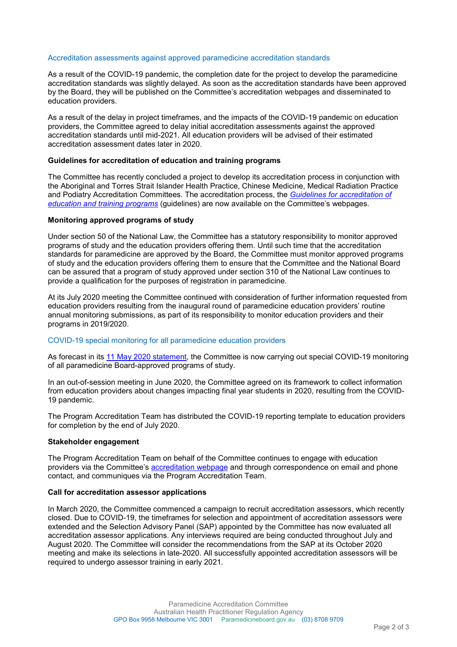#### Accreditation assessments against approved paramedicine accreditation standards

As a result of the COVID-19 pandemic, the completion date for the project to develop the paramedicine accreditation standards was slightly delayed. As soon as the accreditation standards have been approved by the Board, they will be published on the Committee's accreditation webpages and disseminated to education providers.

As a result of the delay in project timeframes, and the impacts of the COVID-19 pandemic on education providers, the Committee agreed to delay initial accreditation assessments against the approved accreditation standards until mid-2021. All education providers will be advised of their estimated accreditation assessment dates later in 2020.

#### **Guidelines for accreditation of education and training programs**

The Committee has recently concluded a project to develop its accreditation process in conjunction with the Aboriginal and Torres Strait Islander Health Practice, Chinese Medicine, Medical Radiation Practice and Podiatry Accreditation Committees. The accreditation process, the *[Guidelines for accreditation of](https://www.ahpra.gov.au/documents/default.aspx?record=WD20%2f29851&dbid=AP&chksum=daTbzH1QYREqME%2f732YvSw%3d%3d)  [education and training programs](https://www.ahpra.gov.au/documents/default.aspx?record=WD20%2f29851&dbid=AP&chksum=daTbzH1QYREqME%2f732YvSw%3d%3d)* (guidelines) are now available on the Committee's webpages.

#### **Monitoring approved programs of study**

Under section 50 of the National Law, the Committee has a statutory responsibility to monitor approved programs of study and the education providers offering them. Until such time that the accreditation standards for paramedicine are approved by the Board, the Committee must monitor approved programs of study and the education providers offering them to ensure that the Committee and the National Board can be assured that a program of study approved under section 310 of the National Law continues to provide a qualification for the purposes of registration in paramedicine.

At its July 2020 meeting the Committee continued with consideration of further information requested from education providers resulting from the inaugural round of paramedicine education providers' routine annual monitoring submissions, as part of its responsibility to monitor education providers and their programs in 2019/2020.

## COVID-19 special monitoring for all paramedicine education providers

As forecast in its [11 May 2020 statement,](https://www.paramedicineboard.gov.au/Accreditation/Updates.aspx) the Committee is now carrying out special COVID-19 monitoring of all paramedicine Board-approved programs of study.

In an out-of-session meeting in June 2020, the Committee agreed on its framework to collect information from education providers about changes impacting final year students in 2020, resulting from the COVID-19 pandemic.

The Program Accreditation Team has distributed the COVID-19 reporting template to education providers for completion by the end of July 2020.

#### **Stakeholder engagement**

The Program Accreditation Team on behalf of the Committee continues to engage with education providers via the Committee's [accreditation webpage](https://www.paramedicineboard.gov.au/Accreditation.aspx) and through correspondence on email and phone contact, and communiques via the Program Accreditation Team.

#### **Call for accreditation assessor applications**

In March 2020, the Committee commenced a campaign to recruit accreditation assessors, which recently closed. Due to COVID-19, the timeframes for selection and appointment of accreditation assessors were extended and the Selection Advisory Panel (SAP) appointed by the Committee has now evaluated all accreditation assessor applications. Any interviews required are being conducted throughout July and August 2020. The Committee will consider the recommendations from the SAP at its October 2020 meeting and make its selections in late-2020. All successfully appointed accreditation assessors will be required to undergo assessor training in early 2021.